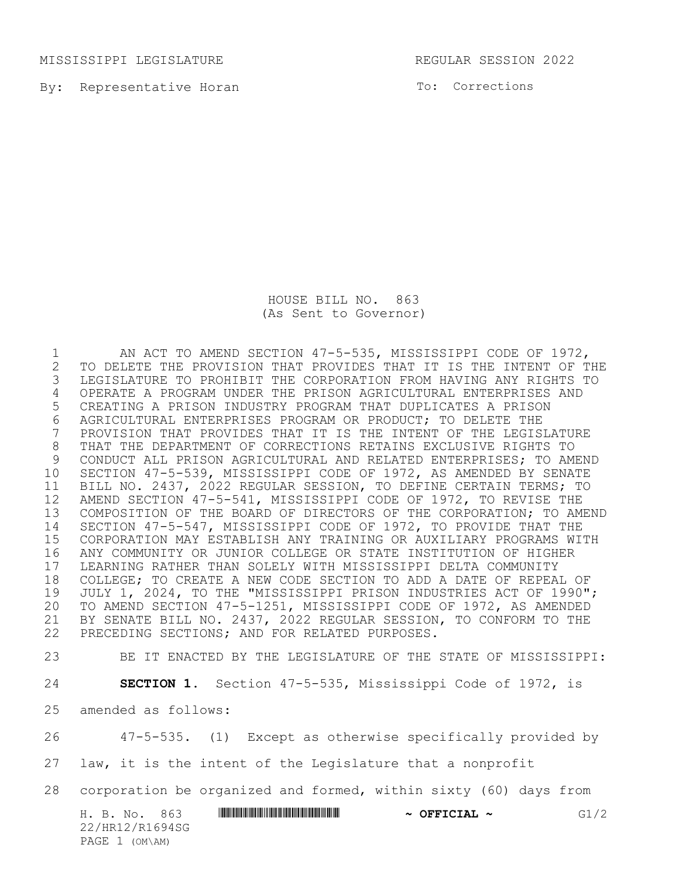MISSISSIPPI LEGISLATURE REGULAR SESSION 2022

By: Representative Horan

To: Corrections

HOUSE BILL NO. 863 (As Sent to Governor)

 AN ACT TO AMEND SECTION 47-5-535, MISSISSIPPI CODE OF 1972, 2 TO DELETE THE PROVISION THAT PROVIDES THAT IT IS THE INTENT OF THE<br>3 LEGISLATURE TO PROHIBIT THE CORPORATION FROM HAVING ANY RIGHTS TO LEGISLATURE TO PROHIBIT THE CORPORATION FROM HAVING ANY RIGHTS TO OPERATE A PROGRAM UNDER THE PRISON AGRICULTURAL ENTERPRISES AND CREATING A PRISON INDUSTRY PROGRAM THAT DUPLICATES A PRISON AGRICULTURAL ENTERPRISES PROGRAM OR PRODUCT; TO DELETE THE PROVISION THAT PROVIDES THAT IT IS THE INTENT OF THE LEGISLATURE THAT THE DEPARTMENT OF CORRECTIONS RETAINS EXCLUSIVE RIGHTS TO CONDUCT ALL PRISON AGRICULTURAL AND RELATED ENTERPRISES; TO AMEND SECTION 47-5-539, MISSISSIPPI CODE OF 1972, AS AMENDED BY SENATE BILL NO. 2437, 2022 REGULAR SESSION, TO DEFINE CERTAIN TERMS; TO AMEND SECTION 47-5-541, MISSISSIPPI CODE OF 1972, TO REVISE THE COMPOSITION OF THE BOARD OF DIRECTORS OF THE CORPORATION; TO AMEND SECTION 47-5-547, MISSISSIPPI CODE OF 1972, TO PROVIDE THAT THE CORPORATION MAY ESTABLISH ANY TRAINING OR AUXILIARY PROGRAMS WITH ANY COMMUNITY OR JUNIOR COLLEGE OR STATE INSTITUTION OF HIGHER LEARNING RATHER THAN SOLELY WITH MISSISSIPPI DELTA COMMUNITY COLLEGE; TO CREATE A NEW CODE SECTION TO ADD A DATE OF REPEAL OF JULY 1, 2024, TO THE "MISSISSIPPI PRISON INDUSTRIES ACT OF 1990"; TO AMEND SECTION 47-5-1251, MISSISSIPPI CODE OF 1972, AS AMENDED BY SENATE BILL NO. 2437, 2022 REGULAR SESSION, TO CONFORM TO THE PRECEDING SECTIONS; AND FOR RELATED PURPOSES.

BE IT ENACTED BY THE LEGISLATURE OF THE STATE OF MISSISSIPPI:

**SECTION 1.** Section 47-5-535, Mississippi Code of 1972, is

amended as follows:

47-5-535. (1) Except as otherwise specifically provided by

law, it is the intent of the Legislature that a nonprofit

corporation be organized and formed, within sixty (60) days from

H. B. No. 863 **HRING CONSERVERSE ASSESS \*** OFFICIAL ~ G1/2 22/HR12/R1694SG PAGE 1 (OM\AM)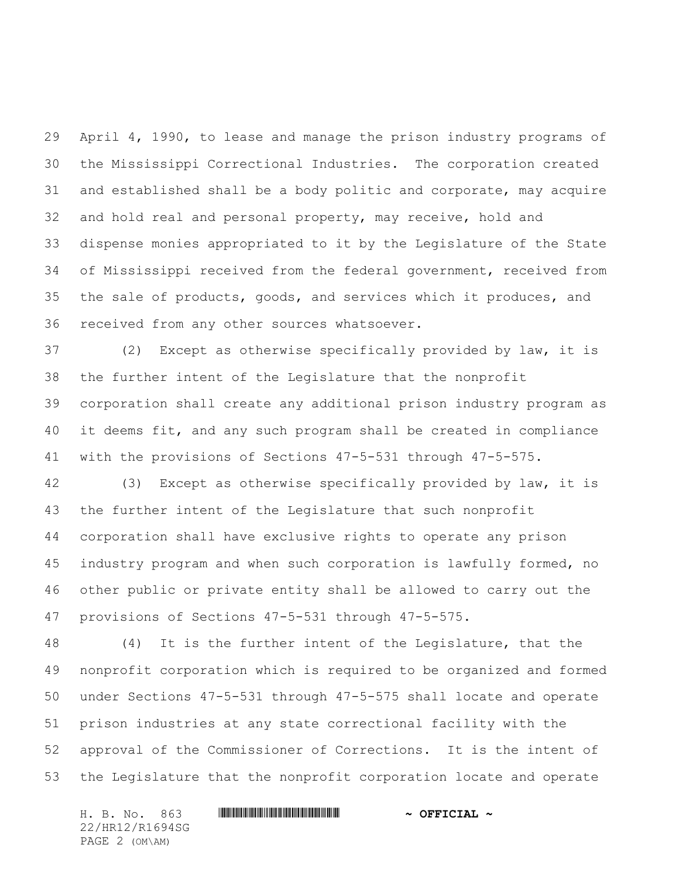April 4, 1990, to lease and manage the prison industry programs of the Mississippi Correctional Industries. The corporation created and established shall be a body politic and corporate, may acquire and hold real and personal property, may receive, hold and dispense monies appropriated to it by the Legislature of the State of Mississippi received from the federal government, received from the sale of products, goods, and services which it produces, and received from any other sources whatsoever.

 (2) Except as otherwise specifically provided by law, it is the further intent of the Legislature that the nonprofit corporation shall create any additional prison industry program as it deems fit, and any such program shall be created in compliance with the provisions of Sections 47-5-531 through 47-5-575.

 (3) Except as otherwise specifically provided by law, it is the further intent of the Legislature that such nonprofit corporation shall have exclusive rights to operate any prison industry program and when such corporation is lawfully formed, no other public or private entity shall be allowed to carry out the provisions of Sections 47-5-531 through 47-5-575.

 (4) It is the further intent of the Legislature, that the nonprofit corporation which is required to be organized and formed under Sections 47-5-531 through 47-5-575 shall locate and operate prison industries at any state correctional facility with the approval of the Commissioner of Corrections. It is the intent of the Legislature that the nonprofit corporation locate and operate

H. B. No. 863 \*HR12/R1694SG\* **~ OFFICIAL ~** 22/HR12/R1694SG PAGE 2 (OM\AM)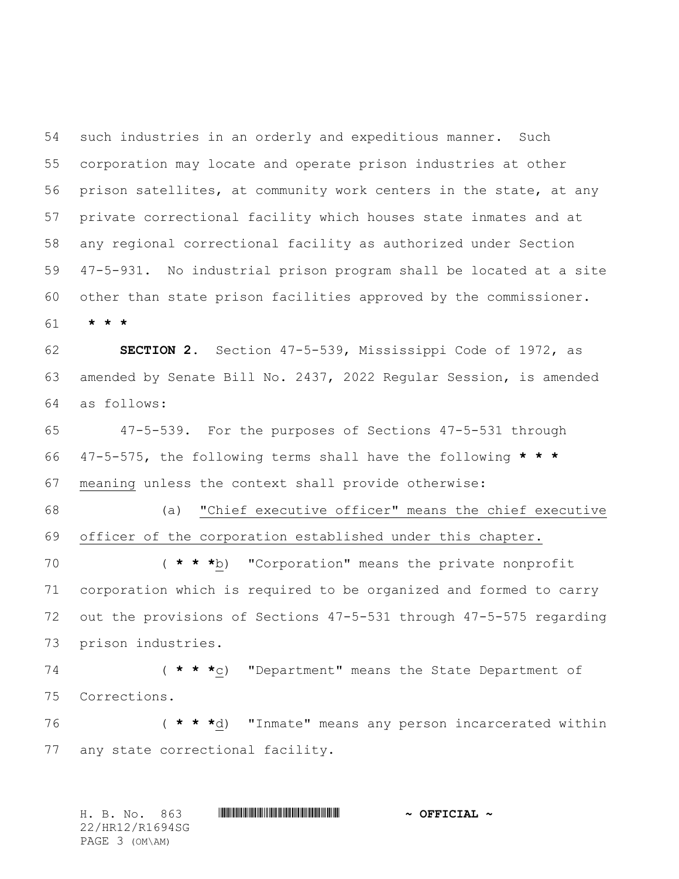such industries in an orderly and expeditious manner. Such corporation may locate and operate prison industries at other prison satellites, at community work centers in the state, at any private correctional facility which houses state inmates and at any regional correctional facility as authorized under Section 47-5-931. No industrial prison program shall be located at a site other than state prison facilities approved by the commissioner. **\* \* \***

 **SECTION 2.** Section 47-5-539, Mississippi Code of 1972, as amended by Senate Bill No. 2437, 2022 Regular Session, is amended as follows:

 47-5-539. For the purposes of Sections 47-5-531 through 47-5-575, the following terms shall have the following **\* \* \*** meaning unless the context shall provide otherwise:

 (a) "Chief executive officer" means the chief executive officer of the corporation established under this chapter.

 ( **\* \* \***b) "Corporation" means the private nonprofit corporation which is required to be organized and formed to carry out the provisions of Sections 47-5-531 through 47-5-575 regarding prison industries.

 ( **\* \* \***c) "Department" means the State Department of Corrections.

 ( **\* \* \***d) "Inmate" means any person incarcerated within any state correctional facility.

H. B. No. 863 \*HR12/R1694SG\* **~ OFFICIAL ~** 22/HR12/R1694SG PAGE 3 (OM\AM)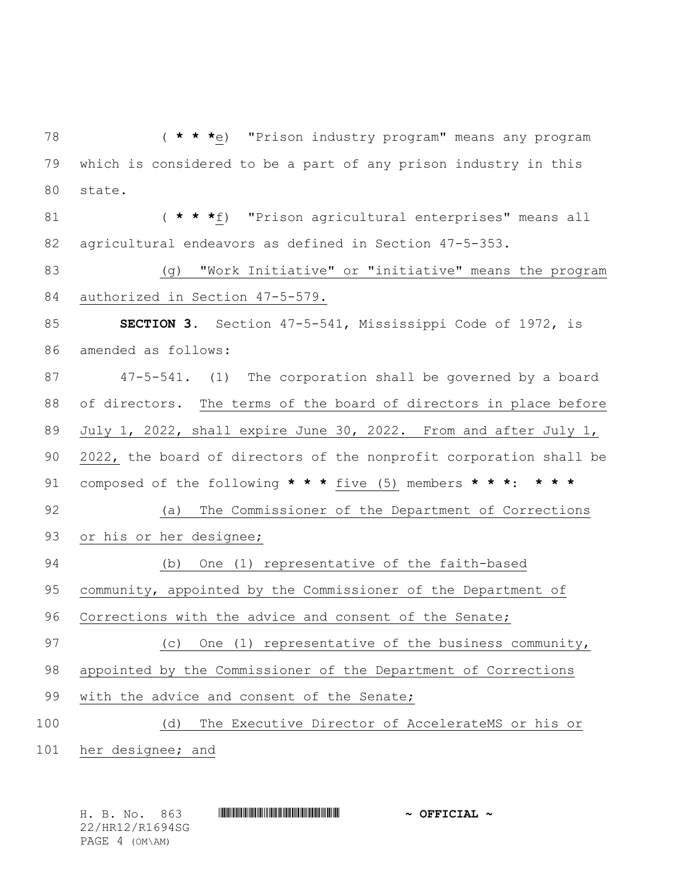( **\* \* \***e) "Prison industry program" means any program which is considered to be a part of any prison industry in this state.

 ( **\* \* \***f) "Prison agricultural enterprises" means all agricultural endeavors as defined in Section 47-5-353.

 (g) "Work Initiative" or "initiative" means the program authorized in Section 47-5-579.

 **SECTION 3.** Section 47-5-541, Mississippi Code of 1972, is amended as follows:

 47-5-541. (1) The corporation shall be governed by a board of directors. The terms of the board of directors in place before July 1, 2022, shall expire June 30, 2022. From and after July 1, 2022, the board of directors of the nonprofit corporation shall be composed of the following **\* \* \*** five (5) members **\* \* \***: **\* \* \***

 (a) The Commissioner of the Department of Corrections or his or her designee;

(b) One (1) representative of the faith-based

community, appointed by the Commissioner of the Department of

Corrections with the advice and consent of the Senate;

(c) One (1) representative of the business community,

appointed by the Commissioner of the Department of Corrections

with the advice and consent of the Senate;

(d) The Executive Director of AccelerateMS or his or

her designee; and

H. B. No. 863 \*HR12/R1694SG\* **~ OFFICIAL ~** 22/HR12/R1694SG PAGE 4 (OM\AM)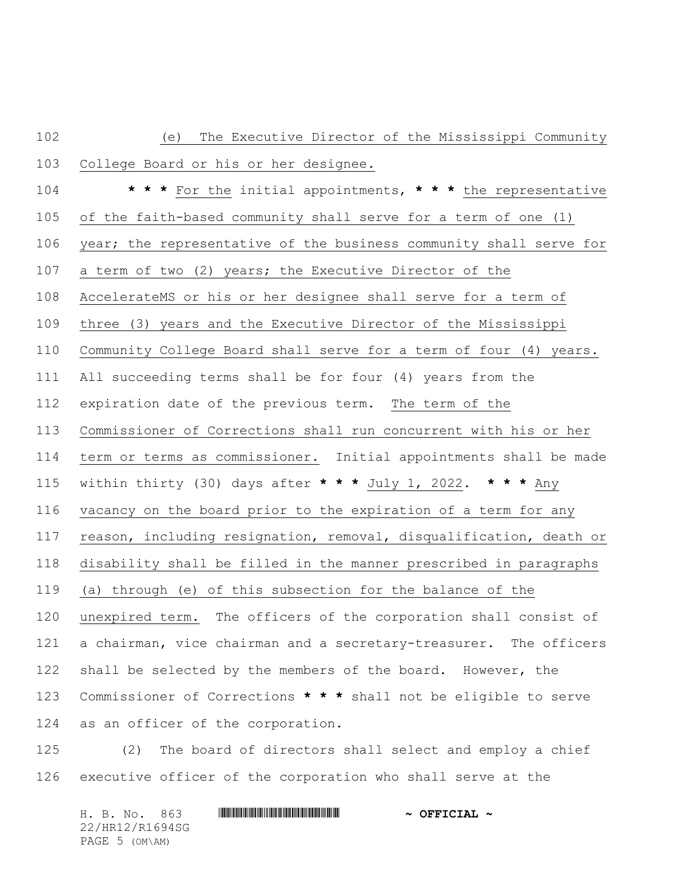| 102 | The Executive Director of the Mississippi Community<br>(e)         |
|-----|--------------------------------------------------------------------|
| 103 | College Board or his or her designee.                              |
| 104 | * * * For the initial appointments, * * * the representative       |
| 105 | of the faith-based community shall serve for a term of one (1)     |
| 106 | year; the representative of the business community shall serve for |
| 107 | a term of two (2) years; the Executive Director of the             |
| 108 | AccelerateMS or his or her designee shall serve for a term of      |
| 109 | three (3) years and the Executive Director of the Mississippi      |
| 110 | Community College Board shall serve for a term of four (4) years.  |
| 111 | All succeeding terms shall be for four (4) years from the          |
| 112 | expiration date of the previous term. The term of the              |
| 113 | Commissioner of Corrections shall run concurrent with his or her   |
| 114 | term or terms as commissioner. Initial appointments shall be made  |
| 115 | within thirty (30) days after * * * July 1, 2022. * * * Any        |
| 116 | vacancy on the board prior to the expiration of a term for any     |
| 117 | reason, including resignation, removal, disqualification, death or |
| 118 | disability shall be filled in the manner prescribed in paragraphs  |
| 119 | (a) through (e) of this subsection for the balance of the          |
| 120 | unexpired term. The officers of the corporation shall consist of   |
| 121 | a chairman, vice chairman and a secretary-treasurer. The officers  |
| 122 | shall be selected by the members of the board. However, the        |
| 123 | Commissioner of Corrections * * * shall not be eligible to serve   |
| 124 | as an officer of the corporation.                                  |
| 1つら | (2) The beard of directors shall solect and employ a shief         |

 (2) The board of directors shall select and employ a chief executive officer of the corporation who shall serve at the

H. B. No. 863 \*HR12/R1694SG\* **~ OFFICIAL ~** 22/HR12/R1694SG PAGE 5 (OM\AM)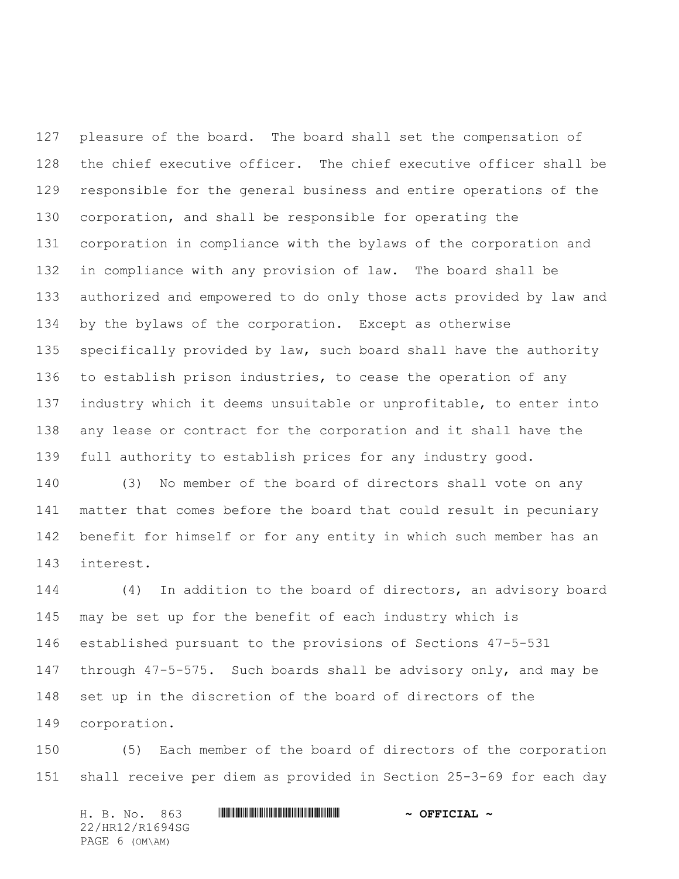pleasure of the board. The board shall set the compensation of the chief executive officer. The chief executive officer shall be responsible for the general business and entire operations of the corporation, and shall be responsible for operating the corporation in compliance with the bylaws of the corporation and in compliance with any provision of law. The board shall be authorized and empowered to do only those acts provided by law and by the bylaws of the corporation. Except as otherwise specifically provided by law, such board shall have the authority to establish prison industries, to cease the operation of any industry which it deems unsuitable or unprofitable, to enter into any lease or contract for the corporation and it shall have the full authority to establish prices for any industry good.

 (3) No member of the board of directors shall vote on any matter that comes before the board that could result in pecuniary benefit for himself or for any entity in which such member has an interest.

 (4) In addition to the board of directors, an advisory board may be set up for the benefit of each industry which is established pursuant to the provisions of Sections 47-5-531 through 47-5-575. Such boards shall be advisory only, and may be set up in the discretion of the board of directors of the corporation.

 (5) Each member of the board of directors of the corporation shall receive per diem as provided in Section 25-3-69 for each day

H. B. No. 863 \*HR12/R1694SG\* **~ OFFICIAL ~** 22/HR12/R1694SG PAGE 6 (OM\AM)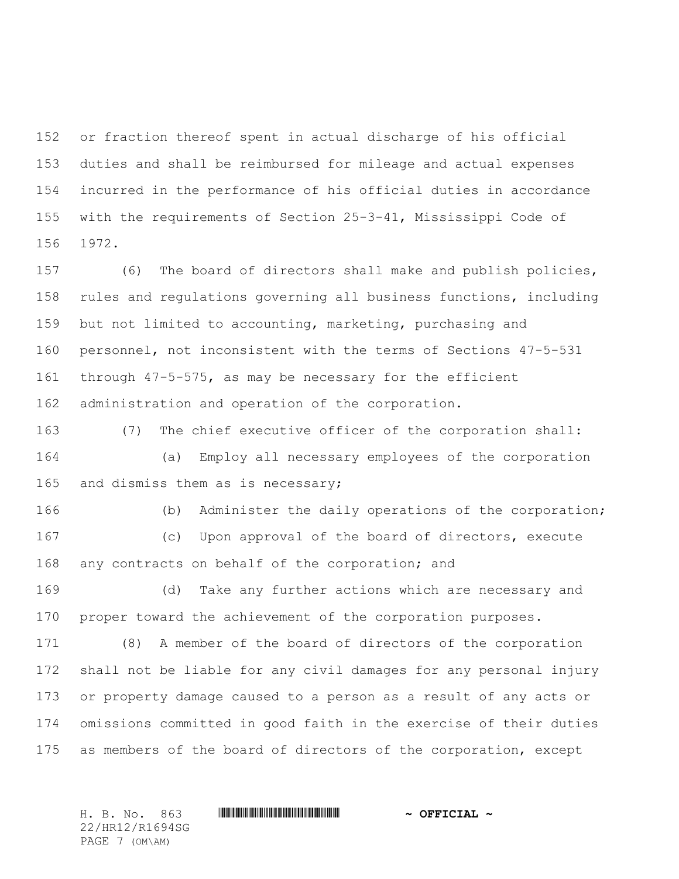or fraction thereof spent in actual discharge of his official duties and shall be reimbursed for mileage and actual expenses incurred in the performance of his official duties in accordance with the requirements of Section 25-3-41, Mississippi Code of 1972.

 (6) The board of directors shall make and publish policies, rules and regulations governing all business functions, including but not limited to accounting, marketing, purchasing and personnel, not inconsistent with the terms of Sections 47-5-531 through 47-5-575, as may be necessary for the efficient administration and operation of the corporation.

 (7) The chief executive officer of the corporation shall: (a) Employ all necessary employees of the corporation 165 and dismiss them as is necessary;

(b) Administer the daily operations of the corporation;

 (c) Upon approval of the board of directors, execute any contracts on behalf of the corporation; and

 (d) Take any further actions which are necessary and proper toward the achievement of the corporation purposes.

 (8) A member of the board of directors of the corporation shall not be liable for any civil damages for any personal injury or property damage caused to a person as a result of any acts or omissions committed in good faith in the exercise of their duties as members of the board of directors of the corporation, except

22/HR12/R1694SG PAGE 7 (OM\AM)

H. B. No. 863 \*HR12/R1694SG\* **~ OFFICIAL ~**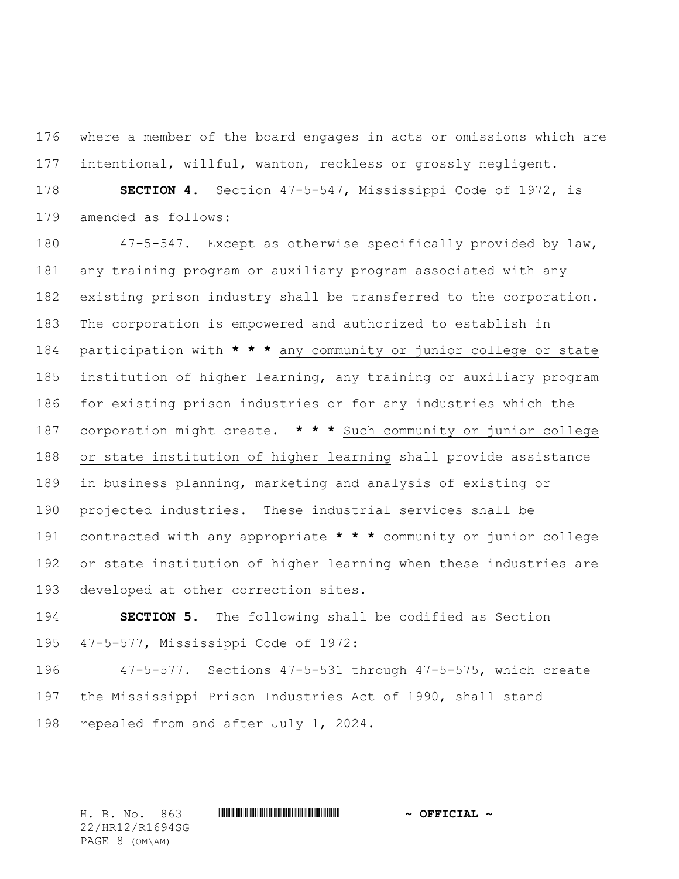where a member of the board engages in acts or omissions which are intentional, willful, wanton, reckless or grossly negligent.

 **SECTION 4.** Section 47-5-547, Mississippi Code of 1972, is amended as follows:

 47-5-547. Except as otherwise specifically provided by law, any training program or auxiliary program associated with any existing prison industry shall be transferred to the corporation. The corporation is empowered and authorized to establish in participation with **\* \* \*** any community or junior college or state institution of higher learning, any training or auxiliary program for existing prison industries or for any industries which the corporation might create. **\* \* \*** Such community or junior college or state institution of higher learning shall provide assistance in business planning, marketing and analysis of existing or projected industries. These industrial services shall be contracted with any appropriate **\* \* \*** community or junior college or state institution of higher learning when these industries are developed at other correction sites.

 **SECTION 5.** The following shall be codified as Section 47-5-577, Mississippi Code of 1972:

 47-5-577. Sections 47-5-531 through 47-5-575, which create the Mississippi Prison Industries Act of 1990, shall stand repealed from and after July 1, 2024.

H. B. No. 863 \*HR12/R1694SG\* **~ OFFICIAL ~** 22/HR12/R1694SG PAGE 8 (OM\AM)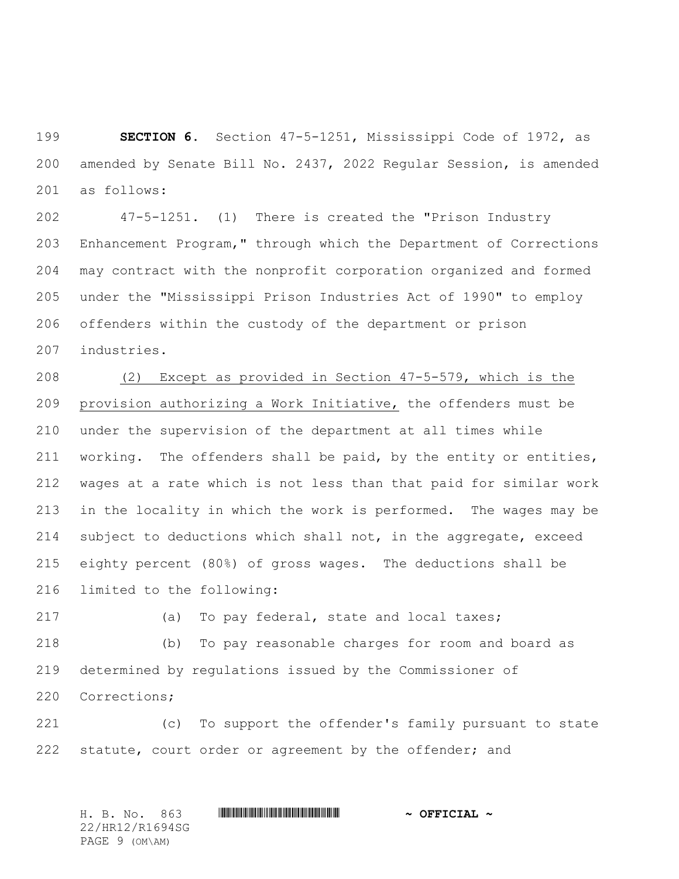**SECTION 6.** Section 47-5-1251, Mississippi Code of 1972, as amended by Senate Bill No. 2437, 2022 Regular Session, is amended as follows:

 47-5-1251. (1) There is created the "Prison Industry Enhancement Program," through which the Department of Corrections may contract with the nonprofit corporation organized and formed under the "Mississippi Prison Industries Act of 1990" to employ offenders within the custody of the department or prison industries.

 (2) Except as provided in Section 47-5-579, which is the provision authorizing a Work Initiative, the offenders must be under the supervision of the department at all times while 211 working. The offenders shall be paid, by the entity or entities, wages at a rate which is not less than that paid for similar work in the locality in which the work is performed. The wages may be subject to deductions which shall not, in the aggregate, exceed eighty percent (80%) of gross wages. The deductions shall be limited to the following:

(a) To pay federal, state and local taxes;

 (b) To pay reasonable charges for room and board as determined by regulations issued by the Commissioner of Corrections;

 (c) To support the offender's family pursuant to state statute, court order or agreement by the offender; and

H. B. No. 863 \*HR12/R1694SG\* **~ OFFICIAL ~** 22/HR12/R1694SG PAGE 9 (OM\AM)